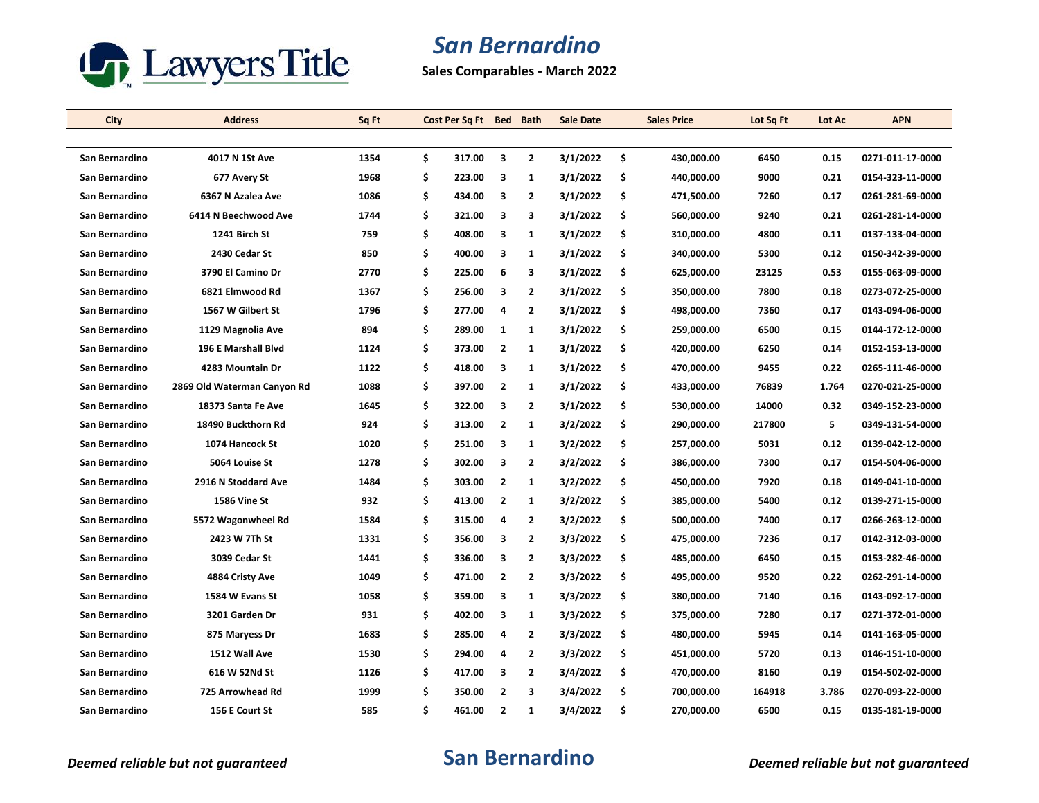

**Sales Comparables - March 2022**

| City           | <b>Address</b>              | Sq Ft | Cost Per Sq Ft Bed Bath |                         |                | <b>Sale Date</b> | <b>Sales Price</b> | Lot Sq Ft | Lot Ac | <b>APN</b>       |
|----------------|-----------------------------|-------|-------------------------|-------------------------|----------------|------------------|--------------------|-----------|--------|------------------|
|                |                             |       |                         |                         |                |                  |                    |           |        |                  |
| San Bernardino | 4017 N 1St Ave              | 1354  | \$<br>317.00            | 3                       | $\overline{2}$ | 3/1/2022         | \$<br>430,000.00   | 6450      | 0.15   | 0271-011-17-0000 |
| San Bernardino | 677 Avery St                | 1968  | \$<br>223.00            | 3                       | 1              | 3/1/2022         | \$<br>440,000.00   | 9000      | 0.21   | 0154-323-11-0000 |
| San Bernardino | 6367 N Azalea Ave           | 1086  | \$<br>434.00            | 3                       | $\overline{2}$ | 3/1/2022         | \$<br>471,500.00   | 7260      | 0.17   | 0261-281-69-0000 |
| San Bernardino | 6414 N Beechwood Ave        | 1744  | \$<br>321.00            | 3                       | 3              | 3/1/2022         | \$<br>560,000.00   | 9240      | 0.21   | 0261-281-14-0000 |
| San Bernardino | 1241 Birch St               | 759   | \$<br>408.00            | 3                       | $\mathbf{1}$   | 3/1/2022         | \$<br>310,000.00   | 4800      | 0.11   | 0137-133-04-0000 |
| San Bernardino | 2430 Cedar St               | 850   | \$<br>400.00            | 3                       | $\mathbf{1}$   | 3/1/2022         | \$<br>340,000.00   | 5300      | 0.12   | 0150-342-39-0000 |
| San Bernardino | 3790 El Camino Dr           | 2770  | \$<br>225.00            | 6                       | 3              | 3/1/2022         | \$<br>625,000.00   | 23125     | 0.53   | 0155-063-09-0000 |
| San Bernardino | 6821 Elmwood Rd             | 1367  | \$<br>256.00            | $\overline{\mathbf{3}}$ | $\overline{2}$ | 3/1/2022         | \$<br>350,000.00   | 7800      | 0.18   | 0273-072-25-0000 |
| San Bernardino | 1567 W Gilbert St           | 1796  | \$<br>277.00            | 4                       | $\overline{2}$ | 3/1/2022         | \$<br>498,000.00   | 7360      | 0.17   | 0143-094-06-0000 |
| San Bernardino | 1129 Magnolia Ave           | 894   | \$<br>289.00            | 1                       | $\mathbf{1}$   | 3/1/2022         | \$<br>259,000.00   | 6500      | 0.15   | 0144-172-12-0000 |
| San Bernardino | <b>196 E Marshall Blvd</b>  | 1124  | \$<br>373.00            | $\overline{2}$          | $\mathbf{1}$   | 3/1/2022         | \$<br>420,000.00   | 6250      | 0.14   | 0152-153-13-0000 |
| San Bernardino | 4283 Mountain Dr            | 1122  | \$<br>418.00            | 3                       | $\mathbf{1}$   | 3/1/2022         | \$<br>470,000.00   | 9455      | 0.22   | 0265-111-46-0000 |
| San Bernardino | 2869 Old Waterman Canyon Rd | 1088  | \$<br>397.00            | $\overline{2}$          | 1              | 3/1/2022         | \$<br>433,000.00   | 76839     | 1.764  | 0270-021-25-0000 |
| San Bernardino | 18373 Santa Fe Ave          | 1645  | \$<br>322.00            | 3                       | $\mathbf{2}$   | 3/1/2022         | \$<br>530,000.00   | 14000     | 0.32   | 0349-152-23-0000 |
| San Bernardino | 18490 Buckthorn Rd          | 924   | \$<br>313.00            | $\overline{\mathbf{2}}$ | 1              | 3/2/2022         | \$<br>290,000.00   | 217800    | 5      | 0349-131-54-0000 |
| San Bernardino | 1074 Hancock St             | 1020  | \$<br>251.00            | 3                       | 1              | 3/2/2022         | \$<br>257,000.00   | 5031      | 0.12   | 0139-042-12-0000 |
| San Bernardino | 5064 Louise St              | 1278  | \$<br>302.00            | 3                       | $\mathbf{2}$   | 3/2/2022         | \$<br>386,000.00   | 7300      | 0.17   | 0154-504-06-0000 |
| San Bernardino | 2916 N Stoddard Ave         | 1484  | \$<br>303.00            | $\overline{2}$          | 1              | 3/2/2022         | \$<br>450,000.00   | 7920      | 0.18   | 0149-041-10-0000 |
| San Bernardino | <b>1586 Vine St</b>         | 932   | \$<br>413.00            | $\overline{\mathbf{2}}$ | $\mathbf{1}$   | 3/2/2022         | \$<br>385,000.00   | 5400      | 0.12   | 0139-271-15-0000 |
| San Bernardino | 5572 Wagonwheel Rd          | 1584  | \$<br>315.00            | 4                       | $\overline{2}$ | 3/2/2022         | \$<br>500,000.00   | 7400      | 0.17   | 0266-263-12-0000 |
| San Bernardino | 2423 W 7Th St               | 1331  | \$<br>356.00            | 3                       | $\overline{2}$ | 3/3/2022         | \$<br>475,000.00   | 7236      | 0.17   | 0142-312-03-0000 |
| San Bernardino | 3039 Cedar St               | 1441  | \$<br>336.00            | 3                       | $\overline{2}$ | 3/3/2022         | \$<br>485,000.00   | 6450      | 0.15   | 0153-282-46-0000 |
| San Bernardino | 4884 Cristy Ave             | 1049  | \$<br>471.00            | $\overline{\mathbf{2}}$ | $\mathbf{2}$   | 3/3/2022         | \$<br>495,000.00   | 9520      | 0.22   | 0262-291-14-0000 |
| San Bernardino | 1584 W Evans St             | 1058  | \$<br>359.00            | 3                       | 1              | 3/3/2022         | \$<br>380,000.00   | 7140      | 0.16   | 0143-092-17-0000 |
| San Bernardino | 3201 Garden Dr              | 931   | \$<br>402.00            | 3                       | $\mathbf{1}$   | 3/3/2022         | \$<br>375,000.00   | 7280      | 0.17   | 0271-372-01-0000 |
| San Bernardino | 875 Maryess Dr              | 1683  | \$<br>285.00            | 4                       | $\mathbf{2}$   | 3/3/2022         | \$<br>480,000.00   | 5945      | 0.14   | 0141-163-05-0000 |
| San Bernardino | 1512 Wall Ave               | 1530  | \$<br>294.00            | 4                       | 2              | 3/3/2022         | \$<br>451,000.00   | 5720      | 0.13   | 0146-151-10-0000 |
| San Bernardino | 616 W 52Nd St               | 1126  | \$<br>417.00            | 3                       | $\overline{2}$ | 3/4/2022         | \$<br>470,000.00   | 8160      | 0.19   | 0154-502-02-0000 |
| San Bernardino | 725 Arrowhead Rd            | 1999  | \$<br>350.00            | $\overline{2}$          | 3              | 3/4/2022         | \$<br>700,000.00   | 164918    | 3.786  | 0270-093-22-0000 |
| San Bernardino | 156 E Court St              | 585   | \$<br>461.00            | $\overline{2}$          | $\mathbf{1}$   | 3/4/2022         | \$<br>270,000.00   | 6500      | 0.15   | 0135-181-19-0000 |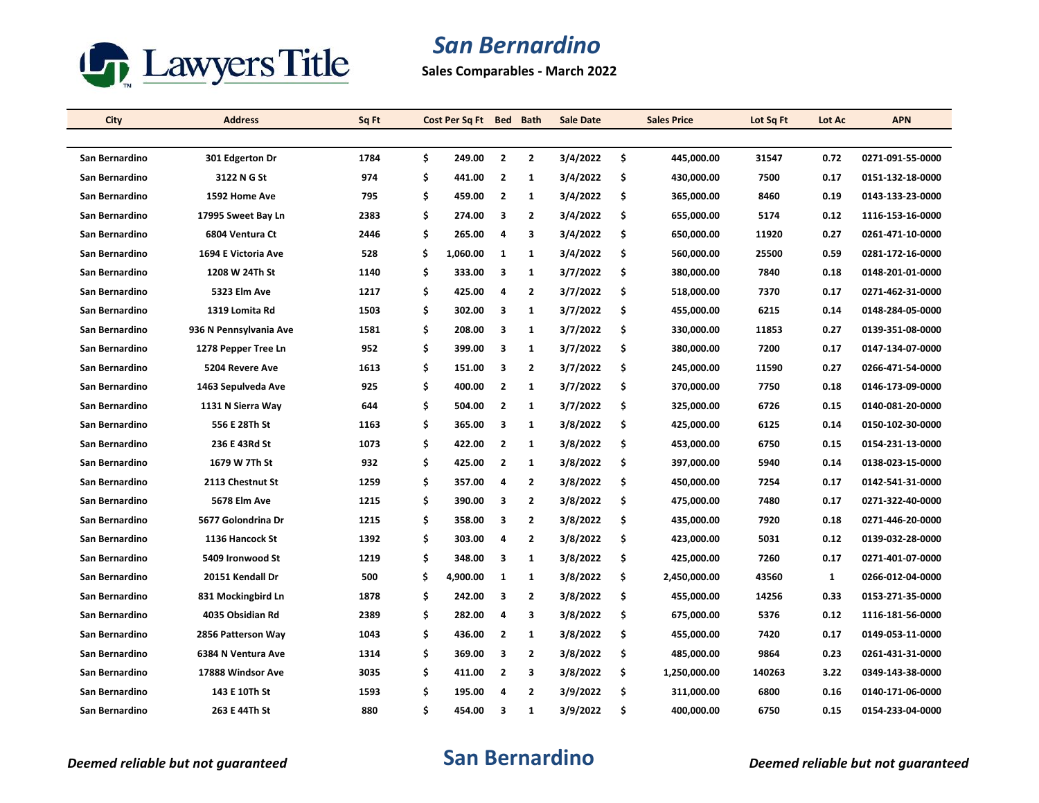

**Sales Comparables - March 2022**

| City           | <b>Address</b>         | Sq Ft | Cost Per Sq Ft Bed Bath |                         |                         | <b>Sale Date</b> | <b>Sales Price</b> | Lot Sq Ft | Lot Ac | <b>APN</b>       |
|----------------|------------------------|-------|-------------------------|-------------------------|-------------------------|------------------|--------------------|-----------|--------|------------------|
|                |                        |       |                         |                         |                         |                  |                    |           |        |                  |
| San Bernardino | 301 Edgerton Dr        | 1784  | \$<br>249.00            | $\overline{2}$          | $\overline{2}$          | 3/4/2022         | \$<br>445,000.00   | 31547     | 0.72   | 0271-091-55-0000 |
| San Bernardino | 3122 N G St            | 974   | \$<br>441.00            | $\overline{2}$          | 1                       | 3/4/2022         | \$<br>430,000.00   | 7500      | 0.17   | 0151-132-18-0000 |
| San Bernardino | 1592 Home Ave          | 795   | \$<br>459.00            | $\overline{2}$          | $\mathbf{1}$            | 3/4/2022         | \$<br>365,000.00   | 8460      | 0.19   | 0143-133-23-0000 |
| San Bernardino | 17995 Sweet Bay Ln     | 2383  | \$<br>274.00            | 3                       | $\overline{2}$          | 3/4/2022         | \$<br>655,000.00   | 5174      | 0.12   | 1116-153-16-0000 |
| San Bernardino | 6804 Ventura Ct        | 2446  | \$<br>265.00            | 4                       | 3                       | 3/4/2022         | \$<br>650,000.00   | 11920     | 0.27   | 0261-471-10-0000 |
| San Bernardino | 1694 E Victoria Ave    | 528   | \$<br>1,060.00          | 1                       | $\mathbf{1}$            | 3/4/2022         | \$<br>560,000.00   | 25500     | 0.59   | 0281-172-16-0000 |
| San Bernardino | 1208 W 24Th St         | 1140  | \$<br>333.00            | 3                       | $\mathbf{1}$            | 3/7/2022         | \$<br>380,000.00   | 7840      | 0.18   | 0148-201-01-0000 |
| San Bernardino | <b>5323 Elm Ave</b>    | 1217  | \$<br>425.00            | $\overline{a}$          | $\overline{2}$          | 3/7/2022         | \$<br>518,000.00   | 7370      | 0.17   | 0271-462-31-0000 |
| San Bernardino | 1319 Lomita Rd         | 1503  | \$<br>302.00            | 3                       | $\mathbf{1}$            | 3/7/2022         | \$<br>455,000.00   | 6215      | 0.14   | 0148-284-05-0000 |
| San Bernardino | 936 N Pennsylvania Ave | 1581  | \$<br>208.00            | 3                       | $\mathbf{1}$            | 3/7/2022         | \$<br>330,000.00   | 11853     | 0.27   | 0139-351-08-0000 |
| San Bernardino | 1278 Pepper Tree Ln    | 952   | \$<br>399.00            | $\overline{\mathbf{3}}$ | $\mathbf{1}$            | 3/7/2022         | \$<br>380,000.00   | 7200      | 0.17   | 0147-134-07-0000 |
| San Bernardino | 5204 Revere Ave        | 1613  | \$<br>151.00            | 3                       | $\overline{2}$          | 3/7/2022         | \$<br>245,000.00   | 11590     | 0.27   | 0266-471-54-0000 |
| San Bernardino | 1463 Sepulveda Ave     | 925   | \$<br>400.00            | $\overline{2}$          | $\mathbf{1}$            | 3/7/2022         | \$<br>370,000.00   | 7750      | 0.18   | 0146-173-09-0000 |
| San Bernardino | 1131 N Sierra Way      | 644   | \$<br>504.00            | $\overline{2}$          | $\mathbf{1}$            | 3/7/2022         | \$<br>325,000.00   | 6726      | 0.15   | 0140-081-20-0000 |
| San Bernardino | 556 E 28Th St          | 1163  | \$<br>365.00            | 3                       | $\mathbf{1}$            | 3/8/2022         | \$<br>425,000.00   | 6125      | 0.14   | 0150-102-30-0000 |
| San Bernardino | 236 E 43Rd St          | 1073  | \$<br>422.00            | $\overline{2}$          | 1                       | 3/8/2022         | \$<br>453,000.00   | 6750      | 0.15   | 0154-231-13-0000 |
| San Bernardino | 1679 W 7Th St          | 932   | \$<br>425.00            | $\overline{2}$          | $\mathbf{1}$            | 3/8/2022         | \$<br>397,000.00   | 5940      | 0.14   | 0138-023-15-0000 |
| San Bernardino | 2113 Chestnut St       | 1259  | \$<br>357.00            | 4                       | $\overline{2}$          | 3/8/2022         | \$<br>450,000.00   | 7254      | 0.17   | 0142-541-31-0000 |
| San Bernardino | 5678 Elm Ave           | 1215  | \$<br>390.00            | 3                       | $\overline{2}$          | 3/8/2022         | \$<br>475,000.00   | 7480      | 0.17   | 0271-322-40-0000 |
| San Bernardino | 5677 Golondrina Dr     | 1215  | \$<br>358.00            | 3                       | $\overline{2}$          | 3/8/2022         | \$<br>435,000.00   | 7920      | 0.18   | 0271-446-20-0000 |
| San Bernardino | 1136 Hancock St        | 1392  | \$<br>303.00            | 4                       | $\overline{2}$          | 3/8/2022         | \$<br>423,000.00   | 5031      | 0.12   | 0139-032-28-0000 |
| San Bernardino | 5409 Ironwood St       | 1219  | \$<br>348.00            | 3                       | $\mathbf{1}$            | 3/8/2022         | \$<br>425,000.00   | 7260      | 0.17   | 0271-401-07-0000 |
| San Bernardino | 20151 Kendall Dr       | 500   | \$<br>4,900.00          | $\mathbf{1}$            | $\mathbf{1}$            | 3/8/2022         | \$<br>2,450,000.00 | 43560     | 1      | 0266-012-04-0000 |
| San Bernardino | 831 Mockingbird Ln     | 1878  | \$<br>242.00            | 3                       | 2                       | 3/8/2022         | \$<br>455,000.00   | 14256     | 0.33   | 0153-271-35-0000 |
| San Bernardino | 4035 Obsidian Rd       | 2389  | \$<br>282.00            | $\overline{a}$          | $\overline{\mathbf{3}}$ | 3/8/2022         | \$<br>675,000.00   | 5376      | 0.12   | 1116-181-56-0000 |
| San Bernardino | 2856 Patterson Way     | 1043  | \$<br>436.00            | $\overline{\mathbf{2}}$ | $\mathbf{1}$            | 3/8/2022         | \$<br>455,000.00   | 7420      | 0.17   | 0149-053-11-0000 |
| San Bernardino | 6384 N Ventura Ave     | 1314  | \$<br>369.00            | $\overline{\mathbf{3}}$ | $\overline{2}$          | 3/8/2022         | \$<br>485,000.00   | 9864      | 0.23   | 0261-431-31-0000 |
| San Bernardino | 17888 Windsor Ave      | 3035  | \$<br>411.00            | $\overline{2}$          | 3                       | 3/8/2022         | \$<br>1,250,000.00 | 140263    | 3.22   | 0349-143-38-0000 |
| San Bernardino | 143 E 10Th St          | 1593  | \$<br>195.00            | 4                       | $\overline{2}$          | 3/9/2022         | \$<br>311,000.00   | 6800      | 0.16   | 0140-171-06-0000 |
| San Bernardino | 263 E 44Th St          | 880   | \$<br>454.00            | 3                       | $\mathbf{1}$            | 3/9/2022         | \$<br>400,000.00   | 6750      | 0.15   | 0154-233-04-0000 |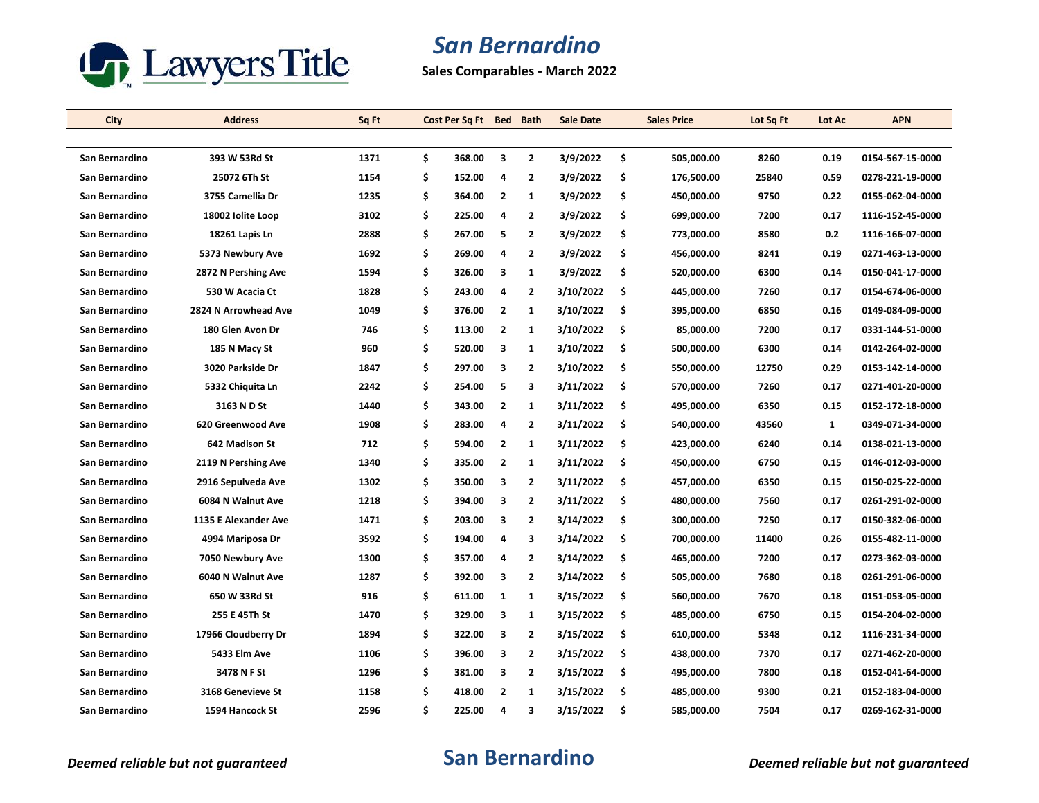

**Sales Comparables - March 2022**

| City           | <b>Address</b>       | Sq Ft | Cost Per Sq Ft Bed Bath |                         |                         | <b>Sale Date</b> |     | <b>Sales Price</b> | Lot Sq Ft | Lot Ac | <b>APN</b>       |
|----------------|----------------------|-------|-------------------------|-------------------------|-------------------------|------------------|-----|--------------------|-----------|--------|------------------|
|                |                      |       |                         |                         |                         |                  |     |                    |           |        |                  |
| San Bernardino | 393 W 53Rd St        | 1371  | \$<br>368.00            | 3                       | $\overline{2}$          | 3/9/2022         | \$  | 505,000.00         | 8260      | 0.19   | 0154-567-15-0000 |
| San Bernardino | 25072 6Th St         | 1154  | \$<br>152.00            | 4                       | 2                       | 3/9/2022         | \$  | 176,500.00         | 25840     | 0.59   | 0278-221-19-0000 |
| San Bernardino | 3755 Camellia Dr     | 1235  | \$<br>364.00            | $\overline{\mathbf{2}}$ | $\mathbf{1}$            | 3/9/2022         | \$  | 450,000.00         | 9750      | 0.22   | 0155-062-04-0000 |
| San Bernardino | 18002 Iolite Loop    | 3102  | \$<br>225.00            | 4                       | $\overline{2}$          | 3/9/2022         | \$  | 699,000.00         | 7200      | 0.17   | 1116-152-45-0000 |
| San Bernardino | 18261 Lapis Ln       | 2888  | \$<br>267.00            | 5                       | $\overline{2}$          | 3/9/2022         | \$  | 773,000.00         | 8580      | 0.2    | 1116-166-07-0000 |
| San Bernardino | 5373 Newbury Ave     | 1692  | \$<br>269.00            | 4                       | $\overline{2}$          | 3/9/2022         | \$  | 456,000.00         | 8241      | 0.19   | 0271-463-13-0000 |
| San Bernardino | 2872 N Pershing Ave  | 1594  | \$<br>326.00            | 3                       | $\mathbf{1}$            | 3/9/2022         | \$  | 520,000.00         | 6300      | 0.14   | 0150-041-17-0000 |
| San Bernardino | 530 W Acacia Ct      | 1828  | \$<br>243.00            | 4                       | $\overline{2}$          | 3/10/2022        | \$  | 445,000.00         | 7260      | 0.17   | 0154-674-06-0000 |
| San Bernardino | 2824 N Arrowhead Ave | 1049  | \$<br>376.00            | $\overline{2}$          | 1                       | 3/10/2022        | \$  | 395,000.00         | 6850      | 0.16   | 0149-084-09-0000 |
| San Bernardino | 180 Glen Avon Dr     | 746   | \$<br>113.00            | $\overline{2}$          | $\mathbf{1}$            | 3/10/2022        | \$  | 85,000.00          | 7200      | 0.17   | 0331-144-51-0000 |
| San Bernardino | 185 N Macy St        | 960   | \$<br>520.00            | $\overline{\mathbf{3}}$ | $\mathbf{1}$            | 3/10/2022        | \$  | 500,000.00         | 6300      | 0.14   | 0142-264-02-0000 |
| San Bernardino | 3020 Parkside Dr     | 1847  | \$<br>297.00            | 3                       | $\overline{2}$          | 3/10/2022        | \$  | 550,000.00         | 12750     | 0.29   | 0153-142-14-0000 |
| San Bernardino | 5332 Chiquita Ln     | 2242  | \$<br>254.00            | 5                       | 3                       | 3/11/2022        | \$  | 570,000.00         | 7260      | 0.17   | 0271-401-20-0000 |
| San Bernardino | 3163 N D St          | 1440  | \$<br>343.00            | $\overline{2}$          | $\mathbf{1}$            | 3/11/2022        | \$  | 495,000.00         | 6350      | 0.15   | 0152-172-18-0000 |
| San Bernardino | 620 Greenwood Ave    | 1908  | \$<br>283.00            | 4                       | $\overline{2}$          | 3/11/2022        | \$  | 540,000.00         | 43560     | 1      | 0349-071-34-0000 |
| San Bernardino | 642 Madison St       | 712   | \$<br>594.00            | $\overline{2}$          | 1                       | 3/11/2022        | \$  | 423,000.00         | 6240      | 0.14   | 0138-021-13-0000 |
| San Bernardino | 2119 N Pershing Ave  | 1340  | \$<br>335.00            | $\overline{2}$          | $\mathbf{1}$            | 3/11/2022        | \$  | 450,000.00         | 6750      | 0.15   | 0146-012-03-0000 |
| San Bernardino | 2916 Sepulveda Ave   | 1302  | \$<br>350.00            | 3                       | $\overline{2}$          | 3/11/2022        | \$  | 457,000.00         | 6350      | 0.15   | 0150-025-22-0000 |
| San Bernardino | 6084 N Walnut Ave    | 1218  | \$<br>394.00            | 3                       | $\overline{2}$          | 3/11/2022        | \$  | 480,000.00         | 7560      | 0.17   | 0261-291-02-0000 |
| San Bernardino | 1135 E Alexander Ave | 1471  | \$<br>203.00            | 3                       | $\overline{2}$          | 3/14/2022        | \$  | 300,000.00         | 7250      | 0.17   | 0150-382-06-0000 |
| San Bernardino | 4994 Mariposa Dr     | 3592  | \$<br>194.00            | 4                       | 3                       | 3/14/2022        | \$. | 700,000.00         | 11400     | 0.26   | 0155-482-11-0000 |
| San Bernardino | 7050 Newbury Ave     | 1300  | \$<br>357.00            | 4                       | $\overline{2}$          | 3/14/2022        | \$  | 465,000.00         | 7200      | 0.17   | 0273-362-03-0000 |
| San Bernardino | 6040 N Walnut Ave    | 1287  | \$<br>392.00            | 3                       | $\overline{2}$          | 3/14/2022        | \$  | 505,000.00         | 7680      | 0.18   | 0261-291-06-0000 |
| San Bernardino | 650 W 33Rd St        | 916   | \$<br>611.00            | 1                       | 1                       | 3/15/2022        | \$  | 560,000.00         | 7670      | 0.18   | 0151-053-05-0000 |
| San Bernardino | 255 E 45Th St        | 1470  | \$<br>329.00            | 3                       | $\mathbf{1}$            | 3/15/2022        | \$  | 485,000.00         | 6750      | 0.15   | 0154-204-02-0000 |
| San Bernardino | 17966 Cloudberry Dr  | 1894  | \$<br>322.00            | 3                       | $\overline{2}$          | 3/15/2022        | \$  | 610,000.00         | 5348      | 0.12   | 1116-231-34-0000 |
| San Bernardino | 5433 Elm Ave         | 1106  | \$<br>396.00            | $\overline{\mathbf{3}}$ | $\overline{2}$          | 3/15/2022        | \$  | 438,000.00         | 7370      | 0.17   | 0271-462-20-0000 |
| San Bernardino | 3478 N F St          | 1296  | \$<br>381.00            | 3                       | $\overline{2}$          | 3/15/2022        | \$  | 495,000.00         | 7800      | 0.18   | 0152-041-64-0000 |
| San Bernardino | 3168 Genevieve St    | 1158  | \$<br>418.00            | $\overline{2}$          | 1                       | 3/15/2022        | \$  | 485,000.00         | 9300      | 0.21   | 0152-183-04-0000 |
| San Bernardino | 1594 Hancock St      | 2596  | \$<br>225.00            | 4                       | $\overline{\mathbf{3}}$ | 3/15/2022        | \$  | 585,000.00         | 7504      | 0.17   | 0269-162-31-0000 |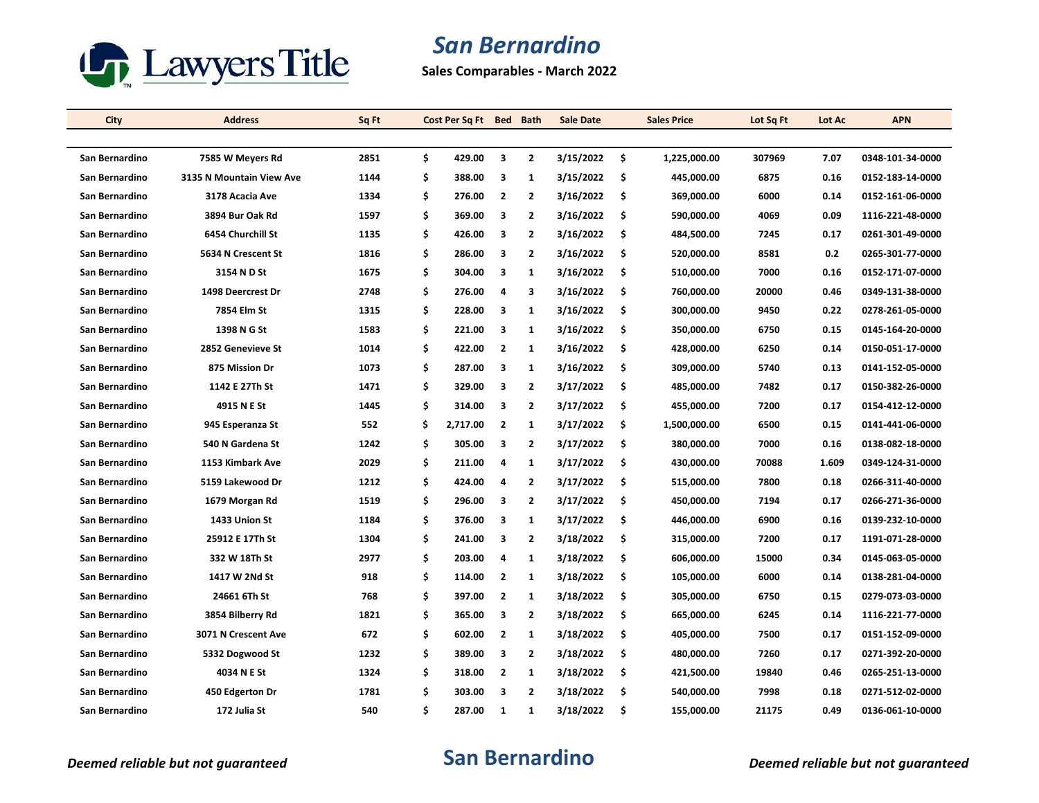

**Sales Comparables - March 2022**

| City           | <b>Address</b>           | Sq Ft | Cost Per Sq Ft Bed |                         | <b>Bath</b>    | <b>Sale Date</b> |     | <b>Sales Price</b> | Lot Sq Ft | Lot Ac | <b>APN</b>       |
|----------------|--------------------------|-------|--------------------|-------------------------|----------------|------------------|-----|--------------------|-----------|--------|------------------|
|                |                          |       |                    |                         |                |                  |     |                    |           |        |                  |
| San Bernardino | 7585 W Meyers Rd         | 2851  | \$<br>429.00       | 3                       | $\overline{2}$ | 3/15/2022        | \$  | 1,225,000.00       | 307969    | 7.07   | 0348-101-34-0000 |
| San Bernardino | 3135 N Mountain View Ave | 1144  | \$<br>388.00       | 3                       | 1              | 3/15/2022        | \$  | 445,000.00         | 6875      | 0.16   | 0152-183-14-0000 |
| San Bernardino | 3178 Acacia Ave          | 1334  | \$<br>276.00       | $\overline{2}$          | $\overline{2}$ | 3/16/2022        | \$  | 369,000.00         | 6000      | 0.14   | 0152-161-06-0000 |
| San Bernardino | 3894 Bur Oak Rd          | 1597  | \$<br>369.00       | 3                       | $\overline{2}$ | 3/16/2022        | \$  | 590,000.00         | 4069      | 0.09   | 1116-221-48-0000 |
| San Bernardino | 6454 Churchill St        | 1135  | \$<br>426.00       | 3                       | $\overline{2}$ | 3/16/2022        | \$  | 484,500.00         | 7245      | 0.17   | 0261-301-49-0000 |
| San Bernardino | 5634 N Crescent St       | 1816  | \$<br>286.00       | 3                       | $\overline{2}$ | 3/16/2022        | \$  | 520,000.00         | 8581      | 0.2    | 0265-301-77-0000 |
| San Bernardino | 3154 N D St              | 1675  | \$<br>304.00       | 3                       | $\mathbf{1}$   | 3/16/2022        | \$  | 510,000.00         | 7000      | 0.16   | 0152-171-07-0000 |
| San Bernardino | 1498 Deercrest Dr        | 2748  | \$<br>276.00       | $\overline{a}$          | 3              | 3/16/2022        | \$  | 760,000.00         | 20000     | 0.46   | 0349-131-38-0000 |
| San Bernardino | 7854 Elm St              | 1315  | \$<br>228.00       | 3                       | 1              | 3/16/2022        | \$  | 300,000.00         | 9450      | 0.22   | 0278-261-05-0000 |
| San Bernardino | 1398 N G St              | 1583  | \$<br>221.00       | 3                       | $\mathbf{1}$   | 3/16/2022        | \$  | 350,000.00         | 6750      | 0.15   | 0145-164-20-0000 |
| San Bernardino | 2852 Genevieve St        | 1014  | \$<br>422.00       | $\overline{2}$          | $\mathbf{1}$   | 3/16/2022        | \$  | 428,000.00         | 6250      | 0.14   | 0150-051-17-0000 |
| San Bernardino | 875 Mission Dr           | 1073  | \$<br>287.00       | 3                       | 1              | 3/16/2022        | \$  | 309,000.00         | 5740      | 0.13   | 0141-152-05-0000 |
| San Bernardino | 1142 E 27Th St           | 1471  | \$<br>329.00       | 3                       | $\overline{2}$ | 3/17/2022        | \$  | 485,000.00         | 7482      | 0.17   | 0150-382-26-0000 |
| San Bernardino | 4915 N E St              | 1445  | \$<br>314.00       | 3                       | $\overline{2}$ | 3/17/2022        | \$  | 455,000.00         | 7200      | 0.17   | 0154-412-12-0000 |
| San Bernardino | 945 Esperanza St         | 552   | \$<br>2,717.00     | $\overline{\mathbf{2}}$ | 1              | 3/17/2022        | \$  | 1,500,000.00       | 6500      | 0.15   | 0141-441-06-0000 |
| San Bernardino | 540 N Gardena St         | 1242  | \$<br>305.00       | 3                       | $\overline{2}$ | 3/17/2022        | \$  | 380,000.00         | 7000      | 0.16   | 0138-082-18-0000 |
| San Bernardino | 1153 Kimbark Ave         | 2029  | \$<br>211.00       | 4                       | $\mathbf{1}$   | 3/17/2022        | \$  | 430,000.00         | 70088     | 1.609  | 0349-124-31-0000 |
| San Bernardino | 5159 Lakewood Dr         | 1212  | \$<br>424.00       | 4                       | $\overline{2}$ | 3/17/2022        | \$  | 515,000.00         | 7800      | 0.18   | 0266-311-40-0000 |
| San Bernardino | 1679 Morgan Rd           | 1519  | \$<br>296.00       | 3                       | $\overline{2}$ | 3/17/2022        | \$  | 450,000.00         | 7194      | 0.17   | 0266-271-36-0000 |
| San Bernardino | 1433 Union St            | 1184  | \$<br>376.00       | 3                       | 1              | 3/17/2022        | \$  | 446,000.00         | 6900      | 0.16   | 0139-232-10-0000 |
| San Bernardino | 25912 E 17Th St          | 1304  | \$<br>241.00       | 3                       | $\overline{2}$ | 3/18/2022        | \$. | 315,000.00         | 7200      | 0.17   | 1191-071-28-0000 |
| San Bernardino | 332 W 18Th St            | 2977  | \$<br>203.00       | 4                       | $\mathbf{1}$   | 3/18/2022        | \$  | 606,000.00         | 15000     | 0.34   | 0145-063-05-0000 |
| San Bernardino | 1417 W 2Nd St            | 918   | \$<br>114.00       | $\overline{\mathbf{2}}$ | 1              | 3/18/2022        | \$  | 105,000.00         | 6000      | 0.14   | 0138-281-04-0000 |
| San Bernardino | 24661 6Th St             | 768   | \$<br>397.00       | $\overline{2}$          | 1              | 3/18/2022        | \$  | 305,000.00         | 6750      | 0.15   | 0279-073-03-0000 |
| San Bernardino | 3854 Bilberry Rd         | 1821  | \$<br>365.00       | 3                       | $\overline{2}$ | 3/18/2022        | \$  | 665,000.00         | 6245      | 0.14   | 1116-221-77-0000 |
| San Bernardino | 3071 N Crescent Ave      | 672   | \$<br>602.00       | $\overline{\mathbf{2}}$ | $\mathbf{1}$   | 3/18/2022        | \$  | 405,000.00         | 7500      | 0.17   | 0151-152-09-0000 |
| San Bernardino | 5332 Dogwood St          | 1232  | \$<br>389.00       | 3                       | $\overline{2}$ | 3/18/2022        | \$  | 480,000.00         | 7260      | 0.17   | 0271-392-20-0000 |
| San Bernardino | 4034 N E St              | 1324  | \$<br>318.00       | $\overline{2}$          | $\mathbf{1}$   | 3/18/2022        | \$  | 421,500.00         | 19840     | 0.46   | 0265-251-13-0000 |
| San Bernardino | 450 Edgerton Dr          | 1781  | \$<br>303.00       | 3                       | $\overline{2}$ | 3/18/2022        | \$  | 540,000.00         | 7998      | 0.18   | 0271-512-02-0000 |
| San Bernardino | 172 Julia St             | 540   | \$<br>287.00       | 1                       | $\mathbf{1}$   | 3/18/2022        | \$  | 155,000.00         | 21175     | 0.49   | 0136-061-10-0000 |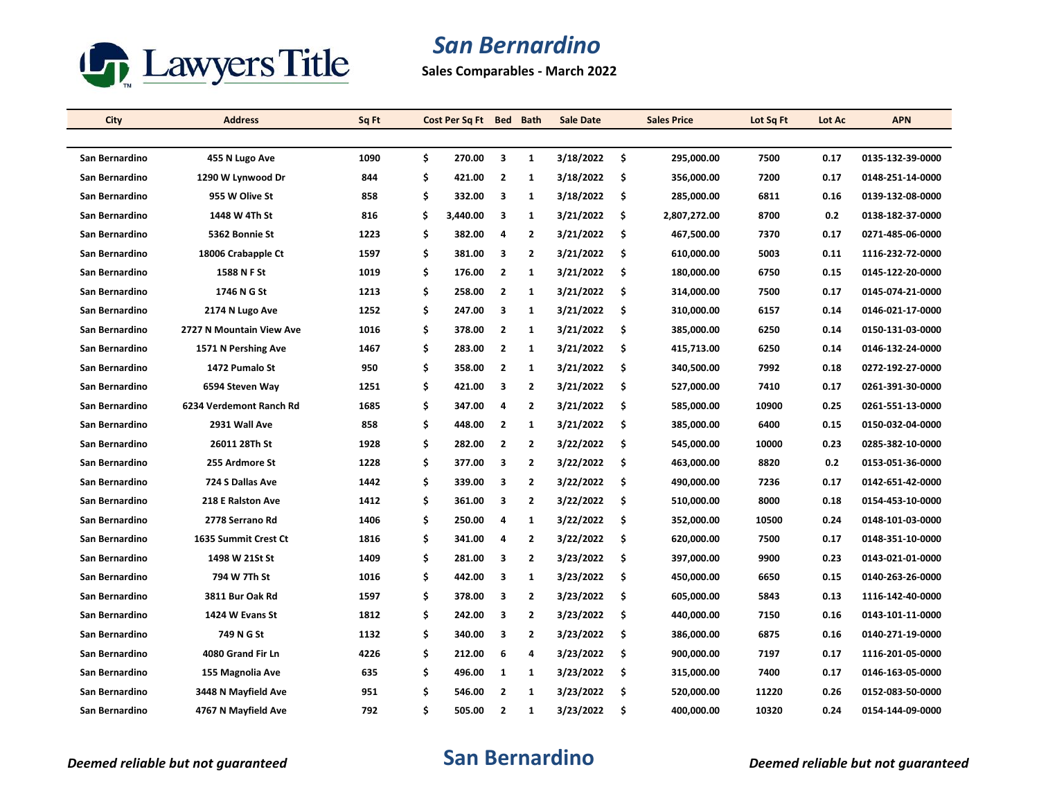

**Sales Comparables - March 2022**

| City           | <b>Address</b>           | Sq Ft | Cost Per Sq Ft Bed Bath |                         |                | <b>Sale Date</b> |     | <b>Sales Price</b> | Lot Sq Ft | Lot Ac | <b>APN</b>       |
|----------------|--------------------------|-------|-------------------------|-------------------------|----------------|------------------|-----|--------------------|-----------|--------|------------------|
|                |                          |       |                         |                         |                |                  |     |                    |           |        |                  |
| San Bernardino | 455 N Lugo Ave           | 1090  | \$<br>270.00            | 3                       | $\mathbf{1}$   | 3/18/2022        | \$  | 295,000.00         | 7500      | 0.17   | 0135-132-39-0000 |
| San Bernardino | 1290 W Lynwood Dr        | 844   | \$<br>421.00            | $\overline{2}$          | 1              | 3/18/2022        | \$  | 356,000.00         | 7200      | 0.17   | 0148-251-14-0000 |
| San Bernardino | 955 W Olive St           | 858   | \$<br>332.00            | 3                       | $\mathbf{1}$   | 3/18/2022        | \$  | 285,000.00         | 6811      | 0.16   | 0139-132-08-0000 |
| San Bernardino | 1448 W 4Th St            | 816   | \$<br>3,440.00          | 3                       | 1              | 3/21/2022        | \$  | 2,807,272.00       | 8700      | 0.2    | 0138-182-37-0000 |
| San Bernardino | 5362 Bonnie St           | 1223  | \$<br>382.00            | 4                       | $\overline{2}$ | 3/21/2022        | \$  | 467,500.00         | 7370      | 0.17   | 0271-485-06-0000 |
| San Bernardino | 18006 Crabapple Ct       | 1597  | \$<br>381.00            | 3                       | $\overline{2}$ | 3/21/2022        | \$  | 610,000.00         | 5003      | 0.11   | 1116-232-72-0000 |
| San Bernardino | 1588 N F St              | 1019  | \$<br>176.00            | $\overline{2}$          | $\mathbf{1}$   | 3/21/2022        | \$  | 180,000.00         | 6750      | 0.15   | 0145-122-20-0000 |
| San Bernardino | 1746 N G St              | 1213  | \$<br>258.00            | $\overline{2}$          | $\mathbf{1}$   | 3/21/2022        | \$  | 314,000.00         | 7500      | 0.17   | 0145-074-21-0000 |
| San Bernardino | 2174 N Lugo Ave          | 1252  | \$<br>247.00            | 3                       | 1              | 3/21/2022        | \$  | 310,000.00         | 6157      | 0.14   | 0146-021-17-0000 |
| San Bernardino | 2727 N Mountain View Ave | 1016  | \$<br>378.00            | $\overline{2}$          | $\mathbf{1}$   | 3/21/2022        | \$  | 385,000.00         | 6250      | 0.14   | 0150-131-03-0000 |
| San Bernardino | 1571 N Pershing Ave      | 1467  | \$<br>283.00            | $\overline{2}$          | $\mathbf{1}$   | 3/21/2022        | \$  | 415,713.00         | 6250      | 0.14   | 0146-132-24-0000 |
| San Bernardino | 1472 Pumalo St           | 950   | \$<br>358.00            | $\overline{\mathbf{2}}$ | 1              | 3/21/2022        | \$  | 340,500.00         | 7992      | 0.18   | 0272-192-27-0000 |
| San Bernardino | 6594 Steven Way          | 1251  | \$<br>421.00            | 3                       | $\overline{2}$ | 3/21/2022        | \$  | 527,000.00         | 7410      | 0.17   | 0261-391-30-0000 |
| San Bernardino | 6234 Verdemont Ranch Rd  | 1685  | \$<br>347.00            | $\overline{4}$          | $\overline{2}$ | 3/21/2022        | \$  | 585,000.00         | 10900     | 0.25   | 0261-551-13-0000 |
| San Bernardino | 2931 Wall Ave            | 858   | \$<br>448.00            | $\overline{\mathbf{2}}$ | 1              | 3/21/2022        | \$  | 385,000.00         | 6400      | 0.15   | 0150-032-04-0000 |
| San Bernardino | 26011 28Th St            | 1928  | \$<br>282.00            | $\overline{2}$          | $\overline{2}$ | 3/22/2022        | \$  | 545,000.00         | 10000     | 0.23   | 0285-382-10-0000 |
| San Bernardino | 255 Ardmore St           | 1228  | \$<br>377.00            | 3                       | $\overline{2}$ | 3/22/2022        | \$  | 463,000.00         | 8820      | 0.2    | 0153-051-36-0000 |
| San Bernardino | 724 S Dallas Ave         | 1442  | \$<br>339.00            | 3                       | $\overline{2}$ | 3/22/2022        | \$  | 490,000.00         | 7236      | 0.17   | 0142-651-42-0000 |
| San Bernardino | 218 E Ralston Ave        | 1412  | \$<br>361.00            | 3                       | $\overline{2}$ | 3/22/2022        | \$  | 510,000.00         | 8000      | 0.18   | 0154-453-10-0000 |
| San Bernardino | 2778 Serrano Rd          | 1406  | \$<br>250.00            | 4                       | 1              | 3/22/2022        | \$  | 352,000.00         | 10500     | 0.24   | 0148-101-03-0000 |
| San Bernardino | 1635 Summit Crest Ct     | 1816  | \$<br>341.00            | 4                       | $\overline{2}$ | 3/22/2022        | \$. | 620,000.00         | 7500      | 0.17   | 0148-351-10-0000 |
| San Bernardino | 1498 W 21St St           | 1409  | \$<br>281.00            | 3                       | $\overline{2}$ | 3/23/2022        | \$  | 397,000.00         | 9900      | 0.23   | 0143-021-01-0000 |
| San Bernardino | 794 W 7Th St             | 1016  | \$<br>442.00            | 3                       | 1              | 3/23/2022        | \$  | 450,000.00         | 6650      | 0.15   | 0140-263-26-0000 |
| San Bernardino | 3811 Bur Oak Rd          | 1597  | \$<br>378.00            | 3                       | 2              | 3/23/2022        | \$  | 605,000.00         | 5843      | 0.13   | 1116-142-40-0000 |
| San Bernardino | 1424 W Evans St          | 1812  | \$<br>242.00            | 3                       | $\overline{2}$ | 3/23/2022        | \$  | 440,000.00         | 7150      | 0.16   | 0143-101-11-0000 |
| San Bernardino | 749 N G St               | 1132  | \$<br>340.00            | 3                       | $\overline{2}$ | 3/23/2022        | \$  | 386,000.00         | 6875      | 0.16   | 0140-271-19-0000 |
| San Bernardino | 4080 Grand Fir Ln        | 4226  | \$<br>212.00            | 6                       | 4              | 3/23/2022        | \$  | 900,000.00         | 7197      | 0.17   | 1116-201-05-0000 |
| San Bernardino | 155 Magnolia Ave         | 635   | \$<br>496.00            | 1                       | 1              | 3/23/2022        | \$  | 315,000.00         | 7400      | 0.17   | 0146-163-05-0000 |
| San Bernardino | 3448 N Mayfield Ave      | 951   | \$<br>546.00            | $\overline{2}$          | $\mathbf{1}$   | 3/23/2022        | \$  | 520,000.00         | 11220     | 0.26   | 0152-083-50-0000 |
| San Bernardino | 4767 N Mayfield Ave      | 792   | \$<br>505.00            | $\overline{2}$          | $\mathbf{1}$   | 3/23/2022        | \$  | 400,000.00         | 10320     | 0.24   | 0154-144-09-0000 |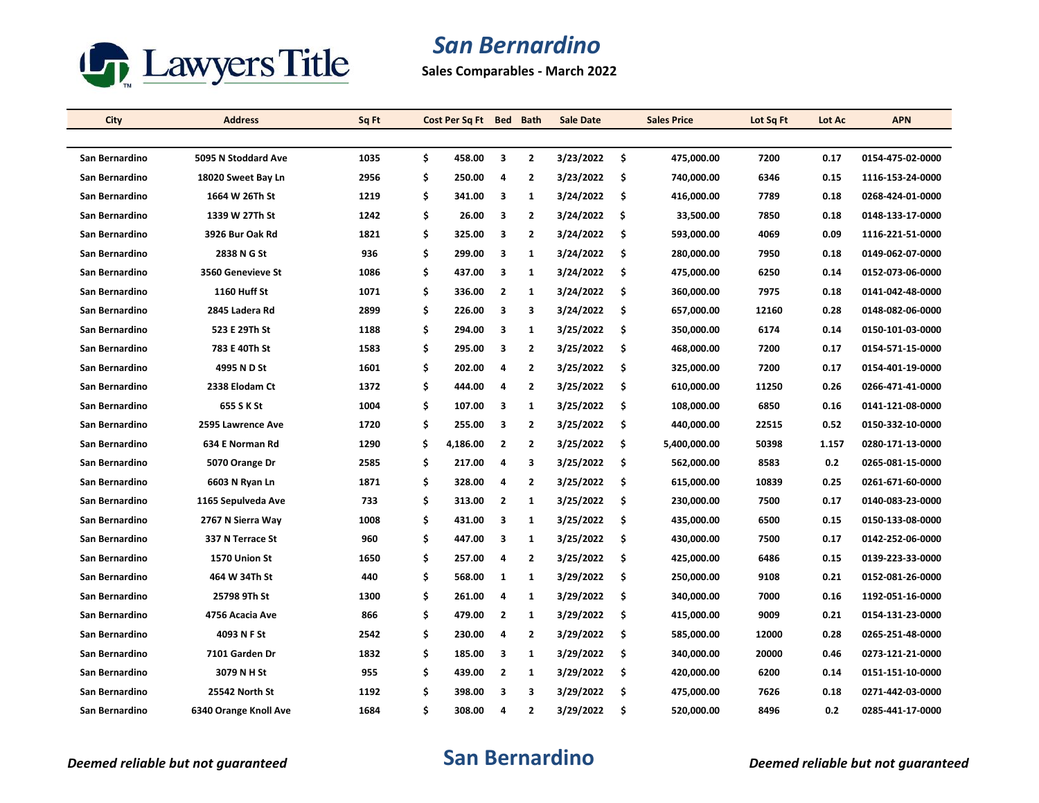

**Sales Comparables - March 2022**

| City           | <b>Address</b>        | Sq Ft | Cost Per Sq Ft Bed Bath |                |                | Sale Date | <b>Sales Price</b> | Lot Sq Ft | Lot Ac | <b>APN</b>       |
|----------------|-----------------------|-------|-------------------------|----------------|----------------|-----------|--------------------|-----------|--------|------------------|
|                |                       |       |                         |                |                |           |                    |           |        |                  |
| San Bernardino | 5095 N Stoddard Ave   | 1035  | \$<br>458.00            | 3              | $\mathbf{2}$   | 3/23/2022 | \$<br>475,000.00   | 7200      | 0.17   | 0154-475-02-0000 |
| San Bernardino | 18020 Sweet Bay Ln    | 2956  | \$<br>250.00            | 4              | $\mathbf{2}$   | 3/23/2022 | \$<br>740,000.00   | 6346      | 0.15   | 1116-153-24-0000 |
| San Bernardino | 1664 W 26Th St        | 1219  | \$<br>341.00            | 3              | $\mathbf{1}$   | 3/24/2022 | \$<br>416,000.00   | 7789      | 0.18   | 0268-424-01-0000 |
| San Bernardino | 1339 W 27Th St        | 1242  | \$<br>26.00             | 3              | $\mathbf{2}$   | 3/24/2022 | \$<br>33,500.00    | 7850      | 0.18   | 0148-133-17-0000 |
| San Bernardino | 3926 Bur Oak Rd       | 1821  | \$<br>325.00            | 3              | 2              | 3/24/2022 | \$<br>593,000.00   | 4069      | 0.09   | 1116-221-51-0000 |
| San Bernardino | 2838 N G St           | 936   | \$<br>299.00            | 3              | 1              | 3/24/2022 | \$<br>280,000.00   | 7950      | 0.18   | 0149-062-07-0000 |
| San Bernardino | 3560 Genevieve St     | 1086  | \$<br>437.00            | 3              | $\mathbf{1}$   | 3/24/2022 | \$<br>475,000.00   | 6250      | 0.14   | 0152-073-06-0000 |
| San Bernardino | <b>1160 Huff St</b>   | 1071  | \$<br>336.00            | $\overline{2}$ | 1              | 3/24/2022 | \$<br>360,000.00   | 7975      | 0.18   | 0141-042-48-0000 |
| San Bernardino | 2845 Ladera Rd        | 2899  | \$<br>226.00            | 3              | 3              | 3/24/2022 | \$<br>657,000.00   | 12160     | 0.28   | 0148-082-06-0000 |
| San Bernardino | 523 E 29Th St         | 1188  | \$<br>294.00            | 3              | $\mathbf{1}$   | 3/25/2022 | \$<br>350,000.00   | 6174      | 0.14   | 0150-101-03-0000 |
| San Bernardino | 783 E 40Th St         | 1583  | \$<br>295.00            | 3              | $\mathbf{2}$   | 3/25/2022 | \$<br>468,000.00   | 7200      | 0.17   | 0154-571-15-0000 |
| San Bernardino | 4995 N D St           | 1601  | \$<br>202.00            | 4              | $\overline{2}$ | 3/25/2022 | \$<br>325,000.00   | 7200      | 0.17   | 0154-401-19-0000 |
| San Bernardino | 2338 Elodam Ct        | 1372  | \$<br>444.00            | 4              | $\overline{2}$ | 3/25/2022 | \$<br>610,000.00   | 11250     | 0.26   | 0266-471-41-0000 |
| San Bernardino | 655 S K St            | 1004  | \$<br>107.00            | 3              | $\mathbf{1}$   | 3/25/2022 | \$<br>108,000.00   | 6850      | 0.16   | 0141-121-08-0000 |
| San Bernardino | 2595 Lawrence Ave     | 1720  | \$<br>255.00            | 3              | $\mathbf{2}$   | 3/25/2022 | \$<br>440,000.00   | 22515     | 0.52   | 0150-332-10-0000 |
| San Bernardino | 634 E Norman Rd       | 1290  | \$<br>4,186.00          | $\overline{2}$ | $\mathbf{2}$   | 3/25/2022 | \$<br>5,400,000.00 | 50398     | 1.157  | 0280-171-13-0000 |
| San Bernardino | 5070 Orange Dr        | 2585  | \$<br>217.00            | 4              | 3              | 3/25/2022 | \$<br>562,000.00   | 8583      | 0.2    | 0265-081-15-0000 |
| San Bernardino | 6603 N Ryan Ln        | 1871  | \$<br>328.00            | 4              | $\overline{2}$ | 3/25/2022 | \$<br>615,000.00   | 10839     | 0.25   | 0261-671-60-0000 |
| San Bernardino | 1165 Sepulveda Ave    | 733   | \$<br>313.00            | $\overline{2}$ | $\mathbf{1}$   | 3/25/2022 | \$<br>230,000.00   | 7500      | 0.17   | 0140-083-23-0000 |
| San Bernardino | 2767 N Sierra Way     | 1008  | \$<br>431.00            | 3              | 1              | 3/25/2022 | \$<br>435,000.00   | 6500      | 0.15   | 0150-133-08-0000 |
| San Bernardino | 337 N Terrace St      | 960   | \$<br>447.00            | 3              | $\mathbf{1}$   | 3/25/2022 | \$<br>430,000.00   | 7500      | 0.17   | 0142-252-06-0000 |
| San Bernardino | 1570 Union St         | 1650  | \$<br>257.00            | 4              | $\overline{2}$ | 3/25/2022 | \$<br>425,000.00   | 6486      | 0.15   | 0139-223-33-0000 |
| San Bernardino | 464 W 34Th St         | 440   | \$<br>568.00            | 1              | 1              | 3/29/2022 | \$<br>250,000.00   | 9108      | 0.21   | 0152-081-26-0000 |
| San Bernardino | 25798 9Th St          | 1300  | \$<br>261.00            | 4              | $\mathbf{1}$   | 3/29/2022 | \$<br>340,000.00   | 7000      | 0.16   | 1192-051-16-0000 |
| San Bernardino | 4756 Acacia Ave       | 866   | \$<br>479.00            | $\overline{2}$ | 1              | 3/29/2022 | \$<br>415,000.00   | 9009      | 0.21   | 0154-131-23-0000 |
| San Bernardino | 4093 N F St           | 2542  | \$<br>230.00            | 4              | $\mathbf{2}$   | 3/29/2022 | \$<br>585,000.00   | 12000     | 0.28   | 0265-251-48-0000 |
| San Bernardino | 7101 Garden Dr        | 1832  | \$<br>185.00            | 3              | 1              | 3/29/2022 | \$<br>340,000.00   | 20000     | 0.46   | 0273-121-21-0000 |
| San Bernardino | 3079 N H St           | 955   | \$<br>439.00            | $\overline{2}$ | $\mathbf{1}$   | 3/29/2022 | \$<br>420,000.00   | 6200      | 0.14   | 0151-151-10-0000 |
| San Bernardino | 25542 North St        | 1192  | \$<br>398.00            | 3              | 3              | 3/29/2022 | \$<br>475,000.00   | 7626      | 0.18   | 0271-442-03-0000 |
| San Bernardino | 6340 Orange Knoll Ave | 1684  | \$<br>308.00            | 4              | $\overline{2}$ | 3/29/2022 | \$<br>520,000.00   | 8496      | 0.2    | 0285-441-17-0000 |